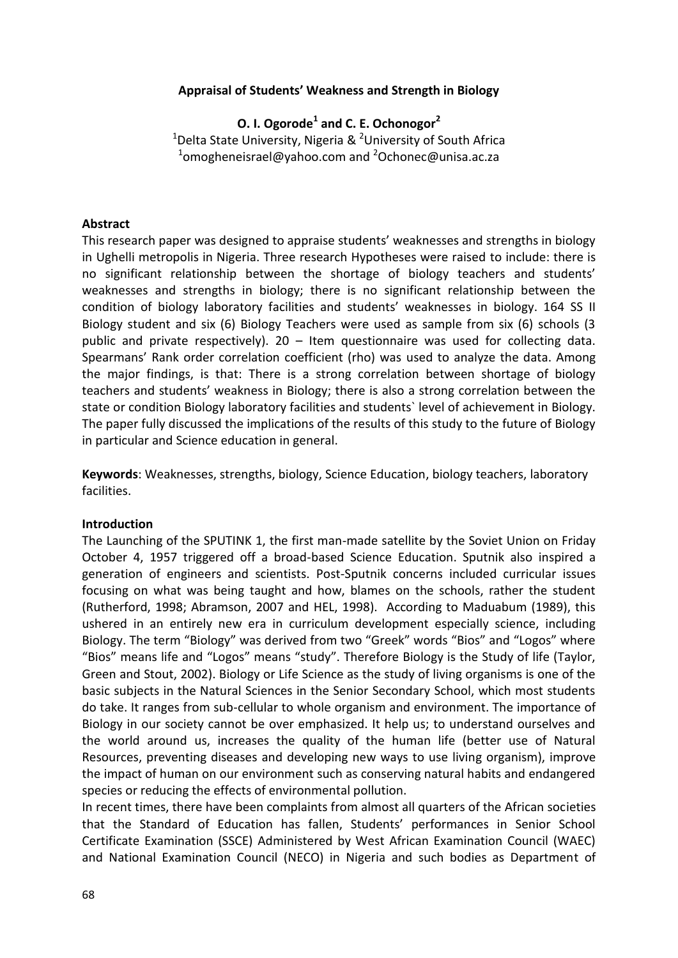### **Appraisal of Students' Weakness and Strength in Biology**

**O. I. Ogorode<sup>1</sup> and C. E. Ochonogor<sup>2</sup>** <sup>1</sup>Delta State University, Nigeria & <sup>2</sup>University of South Africa  $^{1}$ omogheneisrael@yahoo.com and  $^{2}$ Ochonec@unisa.ac.za

#### **Abstract**

This research paper was designed to appraise students' weaknesses and strengths in biology in Ughelli metropolis in Nigeria. Three research Hypotheses were raised to include: there is no significant relationship between the shortage of biology teachers and students' weaknesses and strengths in biology; there is no significant relationship between the condition of biology laboratory facilities and students' weaknesses in biology. 164 SS II Biology student and six (6) Biology Teachers were used as sample from six (6) schools (3 public and private respectively). 20 – Item questionnaire was used for collecting data. Spearmans' Rank order correlation coefficient (rho) was used to analyze the data. Among the major findings, is that: There is a strong correlation between shortage of biology teachers and students' weakness in Biology; there is also a strong correlation between the state or condition Biology laboratory facilities and students` level of achievement in Biology. The paper fully discussed the implications of the results of this study to the future of Biology in particular and Science education in general.

**Keywords**: Weaknesses, strengths, biology, Science Education, biology teachers, laboratory facilities.

#### **Introduction**

The Launching of the SPUTINK 1, the first man-made satellite by the Soviet Union on Friday October 4, 1957 triggered off a broad-based Science Education. Sputnik also inspired a generation of engineers and scientists. Post-Sputnik concerns included curricular issues focusing on what was being taught and how, blames on the schools, rather the student (Rutherford, 1998; Abramson, 2007 and HEL, 1998). According to Maduabum (1989), this ushered in an entirely new era in curriculum development especially science, including Biology. The term "Biology" was derived from two "Greek" words "Bios" and "Logos" where "Bios" means life and "Logos" means "study". Therefore Biology is the Study of life (Taylor, Green and Stout, 2002). Biology or Life Science as the study of living organisms is one of the basic subjects in the Natural Sciences in the Senior Secondary School, which most students do take. It ranges from sub-cellular to whole organism and environment. The importance of Biology in our society cannot be over emphasized. It help us; to understand ourselves and the world around us, increases the quality of the human life (better use of Natural Resources, preventing diseases and developing new ways to use living organism), improve the impact of human on our environment such as conserving natural habits and endangered species or reducing the effects of environmental pollution.

In recent times, there have been complaints from almost all quarters of the African societies that the Standard of Education has fallen, Students' performances in Senior School Certificate Examination (SSCE) Administered by West African Examination Council (WAEC) and National Examination Council (NECO) in Nigeria and such bodies as Department of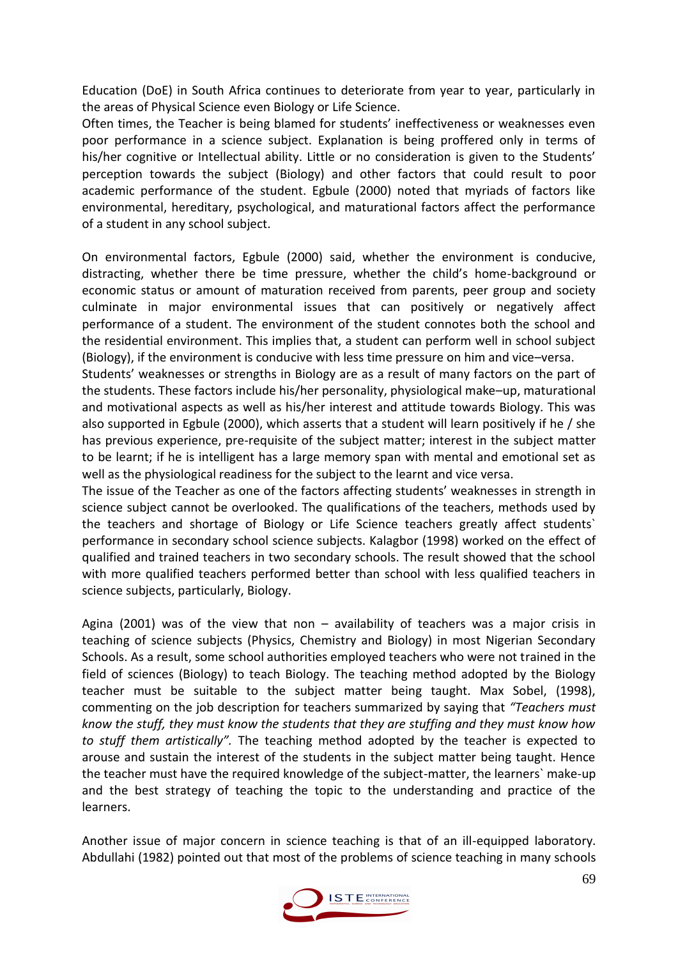Education (DoE) in South Africa continues to deteriorate from year to year, particularly in the areas of Physical Science even Biology or Life Science.

Often times, the Teacher is being blamed for students' ineffectiveness or weaknesses even poor performance in a science subject. Explanation is being proffered only in terms of his/her cognitive or Intellectual ability. Little or no consideration is given to the Students' perception towards the subject (Biology) and other factors that could result to poor academic performance of the student. Egbule (2000) noted that myriads of factors like environmental, hereditary, psychological, and maturational factors affect the performance of a student in any school subject.

On environmental factors, Egbule (2000) said, whether the environment is conducive, distracting, whether there be time pressure, whether the child's home-background or economic status or amount of maturation received from parents, peer group and society culminate in major environmental issues that can positively or negatively affect performance of a student. The environment of the student connotes both the school and the residential environment. This implies that, a student can perform well in school subject (Biology), if the environment is conducive with less time pressure on him and vice–versa.

Students' weaknesses or strengths in Biology are as a result of many factors on the part of the students. These factors include his/her personality, physiological make–up, maturational and motivational aspects as well as his/her interest and attitude towards Biology. This was also supported in Egbule (2000), which asserts that a student will learn positively if he / she has previous experience, pre-requisite of the subject matter; interest in the subject matter to be learnt; if he is intelligent has a large memory span with mental and emotional set as well as the physiological readiness for the subject to the learnt and vice versa.

The issue of the Teacher as one of the factors affecting students' weaknesses in strength in science subject cannot be overlooked. The qualifications of the teachers, methods used by the teachers and shortage of Biology or Life Science teachers greatly affect students` performance in secondary school science subjects. Kalagbor (1998) worked on the effect of qualified and trained teachers in two secondary schools. The result showed that the school with more qualified teachers performed better than school with less qualified teachers in science subjects, particularly, Biology.

Agina (2001) was of the view that non  $-$  availability of teachers was a major crisis in teaching of science subjects (Physics, Chemistry and Biology) in most Nigerian Secondary Schools. As a result, some school authorities employed teachers who were not trained in the field of sciences (Biology) to teach Biology. The teaching method adopted by the Biology teacher must be suitable to the subject matter being taught. Max Sobel, (1998), commenting on the job description for teachers summarized by saying that *"Teachers must know the stuff, they must know the students that they are stuffing and they must know how to stuff them artistically".* The teaching method adopted by the teacher is expected to arouse and sustain the interest of the students in the subject matter being taught. Hence the teacher must have the required knowledge of the subject-matter, the learners` make-up and the best strategy of teaching the topic to the understanding and practice of the learners.

Another issue of major concern in science teaching is that of an ill-equipped laboratory. Abdullahi (1982) pointed out that most of the problems of science teaching in many schools

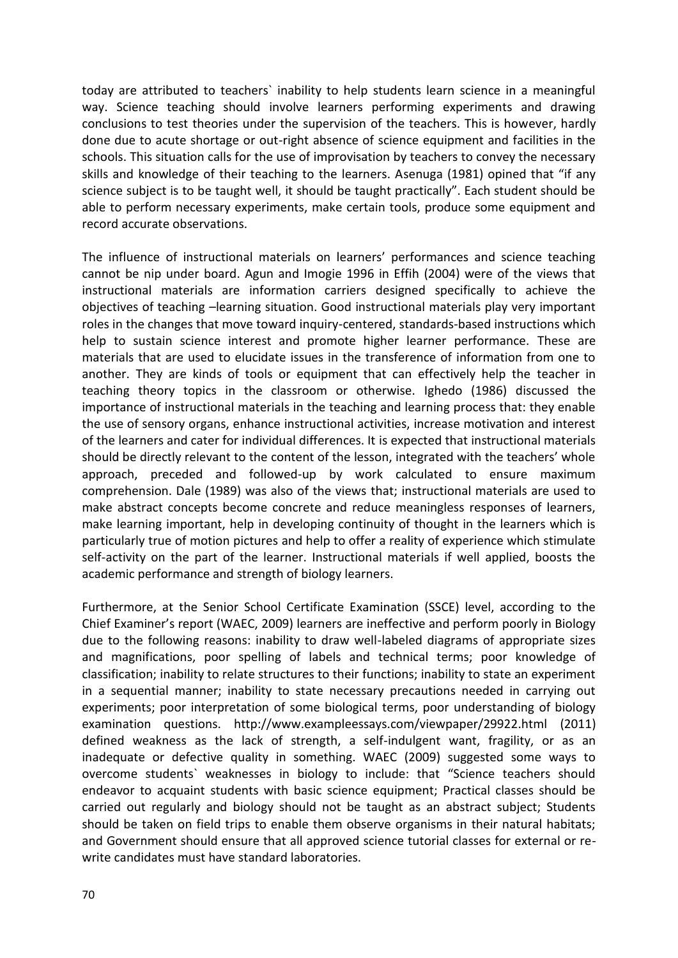today are attributed to teachers` inability to help students learn science in a meaningful way. Science teaching should involve learners performing experiments and drawing conclusions to test theories under the supervision of the teachers. This is however, hardly done due to acute shortage or out-right absence of science equipment and facilities in the schools. This situation calls for the use of improvisation by teachers to convey the necessary skills and knowledge of their teaching to the learners. Asenuga (1981) opined that "if any science subject is to be taught well, it should be taught practically". Each student should be able to perform necessary experiments, make certain tools, produce some equipment and record accurate observations.

The influence of instructional materials on learners' performances and science teaching cannot be nip under board. Agun and Imogie 1996 in Effih (2004) were of the views that instructional materials are information carriers designed specifically to achieve the objectives of teaching –learning situation. Good instructional materials play very important roles in the changes that move toward inquiry-centered, standards-based instructions which help to sustain science interest and promote higher learner performance. These are materials that are used to elucidate issues in the transference of information from one to another. They are kinds of tools or equipment that can effectively help the teacher in teaching theory topics in the classroom or otherwise. Ighedo (1986) discussed the importance of instructional materials in the teaching and learning process that: they enable the use of sensory organs, enhance instructional activities, increase motivation and interest of the learners and cater for individual differences. It is expected that instructional materials should be directly relevant to the content of the lesson, integrated with the teachers' whole approach, preceded and followed-up by work calculated to ensure maximum comprehension. Dale (1989) was also of the views that; instructional materials are used to make abstract concepts become concrete and reduce meaningless responses of learners, make learning important, help in developing continuity of thought in the learners which is particularly true of motion pictures and help to offer a reality of experience which stimulate self-activity on the part of the learner. Instructional materials if well applied, boosts the academic performance and strength of biology learners.

Furthermore, at the Senior School Certificate Examination (SSCE) level, according to the Chief Examiner's report (WAEC, 2009) learners are ineffective and perform poorly in Biology due to the following reasons: inability to draw well-labeled diagrams of appropriate sizes and magnifications, poor spelling of labels and technical terms; poor knowledge of classification; inability to relate structures to their functions; inability to state an experiment in a sequential manner; inability to state necessary precautions needed in carrying out experiments; poor interpretation of some biological terms, poor understanding of biology examination questions. http://www.exampleessays.com/viewpaper/29922.html (2011) defined weakness as the lack of strength, a self-indulgent want, fragility, or as an inadequate or defective quality in something. WAEC (2009) suggested some ways to overcome students` weaknesses in biology to include: that "Science teachers should endeavor to acquaint students with basic science equipment; Practical classes should be carried out regularly and biology should not be taught as an abstract subject; Students should be taken on field trips to enable them observe organisms in their natural habitats; and Government should ensure that all approved science tutorial classes for external or rewrite candidates must have standard laboratories.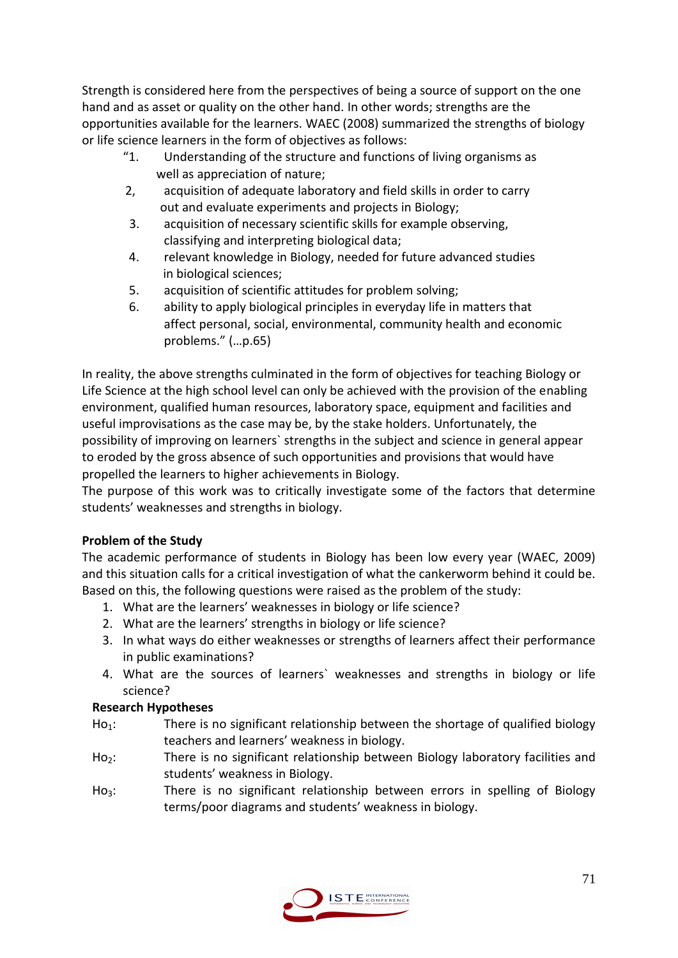Strength is considered here from the perspectives of being a source of support on the one hand and as asset or quality on the other hand. In other words; strengths are the opportunities available for the learners. WAEC (2008) summarized the strengths of biology or life science learners in the form of objectives as follows:

- "1. Understanding of the structure and functions of living organisms as well as appreciation of nature;
- 2, acquisition of adequate laboratory and field skills in order to carry out and evaluate experiments and projects in Biology;
- 3. acquisition of necessary scientific skills for example observing, classifying and interpreting biological data;
- 4. relevant knowledge in Biology, needed for future advanced studies in biological sciences;
- 5. acquisition of scientific attitudes for problem solving;
- 6. ability to apply biological principles in everyday life in matters that affect personal, social, environmental, community health and economic problems." (…p.65)

In reality, the above strengths culminated in the form of objectives for teaching Biology or Life Science at the high school level can only be achieved with the provision of the enabling environment, qualified human resources, laboratory space, equipment and facilities and useful improvisations as the case may be, by the stake holders. Unfortunately, the possibility of improving on learners` strengths in the subject and science in general appear to eroded by the gross absence of such opportunities and provisions that would have propelled the learners to higher achievements in Biology.

The purpose of this work was to critically investigate some of the factors that determine students' weaknesses and strengths in biology.

# **Problem of the Study**

The academic performance of students in Biology has been low every year (WAEC, 2009) and this situation calls for a critical investigation of what the cankerworm behind it could be. Based on this, the following questions were raised as the problem of the study:

- 1. What are the learners' weaknesses in biology or life science?
- 2. What are the learners' strengths in biology or life science?
- 3. In what ways do either weaknesses or strengths of learners affect their performance in public examinations?
- 4. What are the sources of learners` weaknesses and strengths in biology or life science?

## **Research Hypotheses**

- $Ho<sub>1</sub>$ : There is no significant relationship between the shortage of qualified biology teachers and learners' weakness in biology.
- Ho<sub>2</sub>: There is no significant relationship between Biology laboratory facilities and students' weakness in Biology.
- Ho<sub>3</sub>: There is no significant relationship between errors in spelling of Biology terms/poor diagrams and students' weakness in biology.

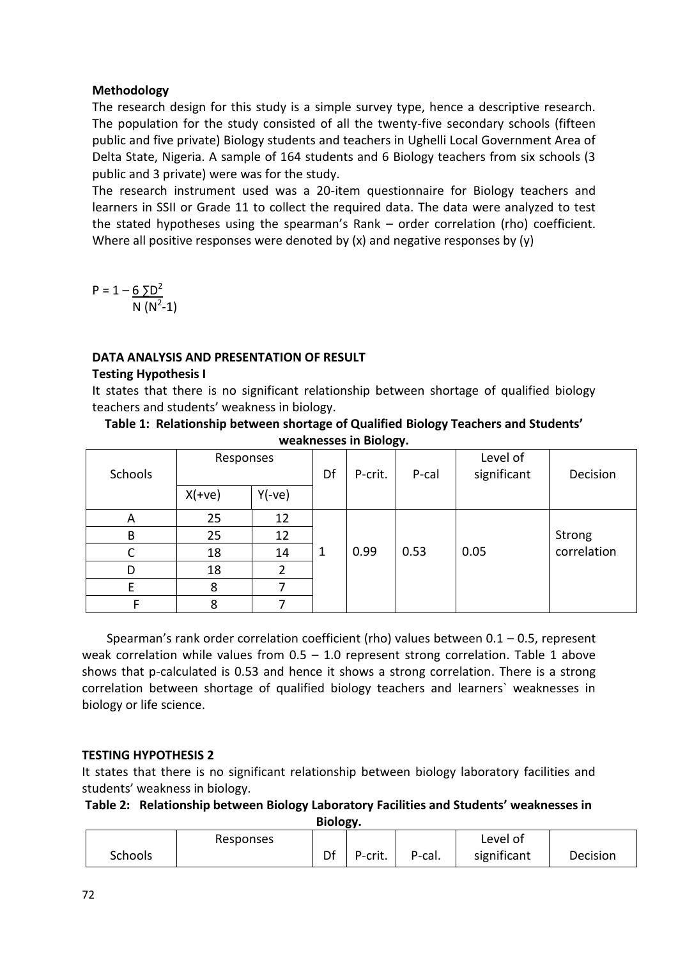### **Methodology**

The research design for this study is a simple survey type, hence a descriptive research. The population for the study consisted of all the twenty-five secondary schools (fifteen public and five private) Biology students and teachers in Ughelli Local Government Area of Delta State, Nigeria. A sample of 164 students and 6 Biology teachers from six schools (3 public and 3 private) were was for the study.

The research instrument used was a 20-item questionnaire for Biology teachers and learners in SSII or Grade 11 to collect the required data. The data were analyzed to test the stated hypotheses using the spearman's Rank – order correlation (rho) coefficient. Where all positive responses were denoted by (x) and negative responses by (y)

 $P = 1 - 65D^2$  $N(N^2-1)$ 

## **DATA ANALYSIS AND PRESENTATION OF RESULT**

### **Testing Hypothesis I**

It states that there is no significant relationship between shortage of qualified biology teachers and students' weakness in biology.

#### **Table 1: Relationship between shortage of Qualified Biology Teachers and Students' weaknesses in Biology.**

| Schools | Responses |          | Df | P-crit. | P-cal | Level of<br>significant | Decision    |
|---------|-----------|----------|----|---------|-------|-------------------------|-------------|
|         | $X(+ve)$  | $Y(-ve)$ |    |         |       |                         |             |
| A       | 25        | 12       |    |         |       |                         |             |
| B       | 25        | 12       |    |         |       |                         | Strong      |
| С       | 18        | 14       | -1 | 0.99    | 0.53  | 0.05                    | correlation |
| D       | 18        | 2        |    |         |       |                         |             |
| E       | 8         |          |    |         |       |                         |             |
|         | 8         |          |    |         |       |                         |             |

Spearman's rank order correlation coefficient (rho) values between  $0.1 - 0.5$ , represent weak correlation while values from  $0.5 - 1.0$  represent strong correlation. Table 1 above shows that p-calculated is 0.53 and hence it shows a strong correlation. There is a strong correlation between shortage of qualified biology teachers and learners` weaknesses in biology or life science.

## **TESTING HYPOTHESIS 2**

It states that there is no significant relationship between biology laboratory facilities and students' weakness in biology.

## **Table 2: Relationship between Biology Laboratory Facilities and Students' weaknesses in**

**Biology.**

|         | Responses |    |         |        | Level of    |          |
|---------|-----------|----|---------|--------|-------------|----------|
| Schools |           | Df | P-crit. | P-cal. | significant | Decision |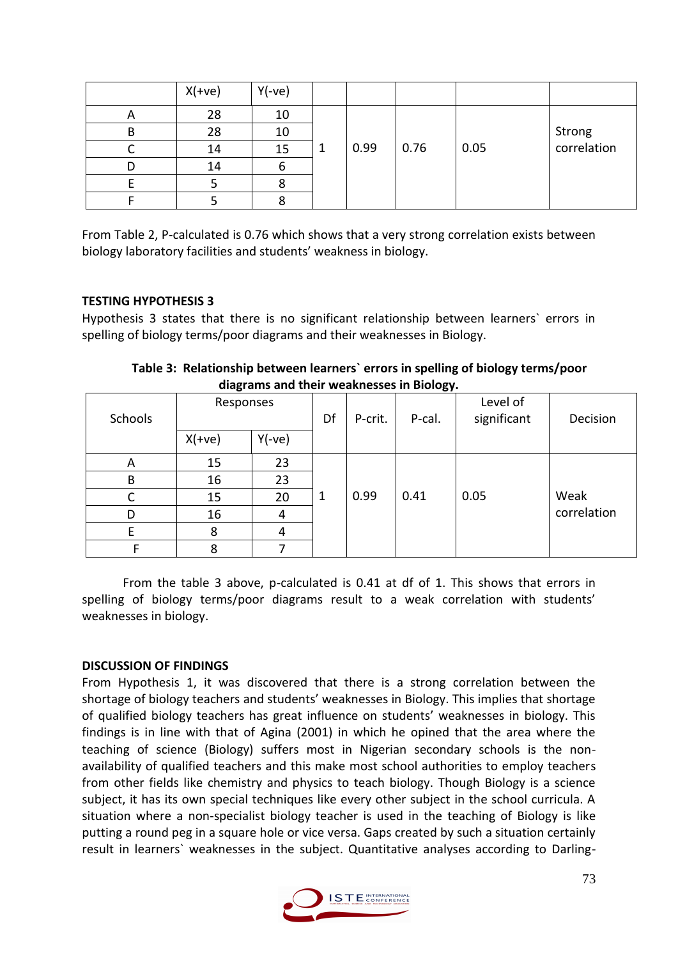|              | $X(+ve)$ | $Y(-ve)$ |   |      |      |      |                       |
|--------------|----------|----------|---|------|------|------|-----------------------|
| $\mathsf{A}$ | 28       | 10       |   |      |      |      |                       |
| B            | 28       | 10       |   |      |      |      | Strong<br>correlation |
|              | 14       | 15       | 1 | 0.99 | 0.76 | 0.05 |                       |
| D            | 14       |          |   |      |      |      |                       |
|              |          |          |   |      |      |      |                       |
|              |          |          |   |      |      |      |                       |

From Table 2, P-calculated is 0.76 which shows that a very strong correlation exists between biology laboratory facilities and students' weakness in biology.

### **TESTING HYPOTHESIS 3**

Hypothesis 3 states that there is no significant relationship between learners` errors in spelling of biology terms/poor diagrams and their weaknesses in Biology.

| . <b>. .</b> . |           |          |    |         |        |                         |             |  |
|----------------|-----------|----------|----|---------|--------|-------------------------|-------------|--|
| Schools        | Responses |          | Df | P-crit. | P-cal. | Level of<br>significant | Decision    |  |
|                | $X(+ve)$  | $Y(-ve)$ |    |         |        |                         |             |  |
| A              | 15        | 23       |    |         |        |                         |             |  |
| $\sf B$        | 16        | 23       |    |         |        |                         |             |  |
| C              | 15        | 20       | -1 | 0.99    | 0.41   | 0.05                    | Weak        |  |
| D              | 16        | 4        |    |         |        |                         | correlation |  |
| E              | 8         | 4        |    |         |        |                         |             |  |
|                | 8         |          |    |         |        |                         |             |  |

**Table 3: Relationship between learners` errors in spelling of biology terms/poor diagrams and their weaknesses in Biology.**

From the table 3 above, p-calculated is 0.41 at df of 1. This shows that errors in spelling of biology terms/poor diagrams result to a weak correlation with students' weaknesses in biology.

## **DISCUSSION OF FINDINGS**

From Hypothesis 1, it was discovered that there is a strong correlation between the shortage of biology teachers and students' weaknesses in Biology. This implies that shortage of qualified biology teachers has great influence on students' weaknesses in biology. This findings is in line with that of Agina (2001) in which he opined that the area where the teaching of science (Biology) suffers most in Nigerian secondary schools is the nonavailability of qualified teachers and this make most school authorities to employ teachers from other fields like chemistry and physics to teach biology. Though Biology is a science subject, it has its own special techniques like every other subject in the school curricula. A situation where a non-specialist biology teacher is used in the teaching of Biology is like putting a round peg in a square hole or vice versa. Gaps created by such a situation certainly result in learners` weaknesses in the subject. Quantitative analyses according to Darling-

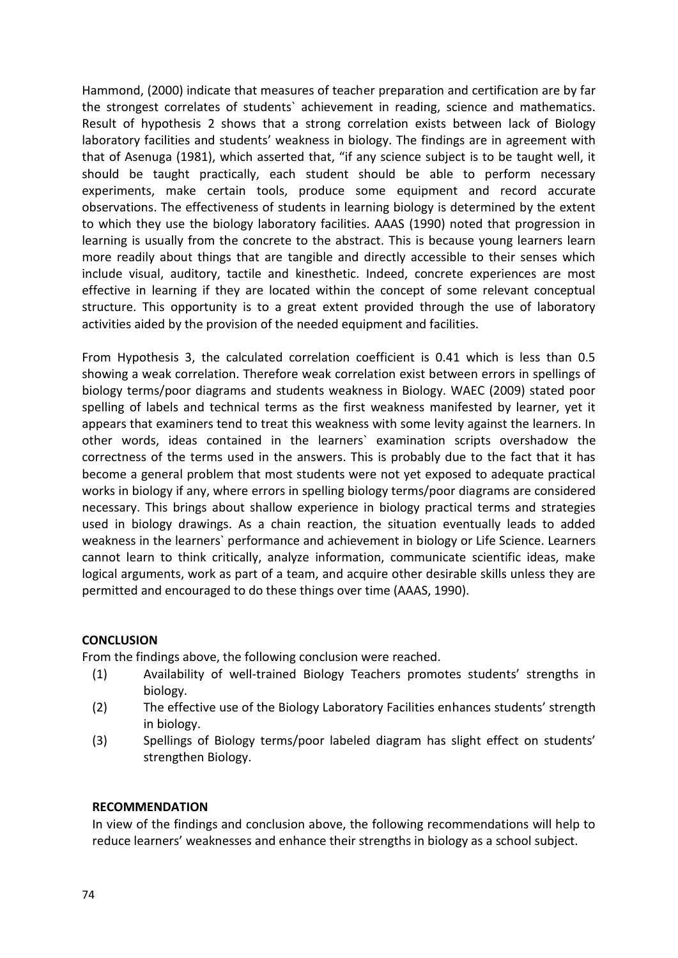Hammond, (2000) indicate that measures of teacher preparation and certification are by far the strongest correlates of students` achievement in reading, science and mathematics. Result of hypothesis 2 shows that a strong correlation exists between lack of Biology laboratory facilities and students' weakness in biology. The findings are in agreement with that of Asenuga (1981), which asserted that, "if any science subject is to be taught well, it should be taught practically, each student should be able to perform necessary experiments, make certain tools, produce some equipment and record accurate observations. The effectiveness of students in learning biology is determined by the extent to which they use the biology laboratory facilities. AAAS (1990) noted that progression in learning is usually from the concrete to the abstract. This is because young learners learn more readily about things that are tangible and directly accessible to their senses which include visual, auditory, tactile and kinesthetic. Indeed, concrete experiences are most effective in learning if they are located within the concept of some relevant conceptual structure. This opportunity is to a great extent provided through the use of laboratory activities aided by the provision of the needed equipment and facilities.

From Hypothesis 3, the calculated correlation coefficient is 0.41 which is less than 0.5 showing a weak correlation. Therefore weak correlation exist between errors in spellings of biology terms/poor diagrams and students weakness in Biology. WAEC (2009) stated poor spelling of labels and technical terms as the first weakness manifested by learner, yet it appears that examiners tend to treat this weakness with some levity against the learners. In other words, ideas contained in the learners` examination scripts overshadow the correctness of the terms used in the answers. This is probably due to the fact that it has become a general problem that most students were not yet exposed to adequate practical works in biology if any, where errors in spelling biology terms/poor diagrams are considered necessary. This brings about shallow experience in biology practical terms and strategies used in biology drawings. As a chain reaction, the situation eventually leads to added weakness in the learners` performance and achievement in biology or Life Science. Learners cannot learn to think critically, analyze information, communicate scientific ideas, make logical arguments, work as part of a team, and acquire other desirable skills unless they are permitted and encouraged to do these things over time (AAAS, 1990).

#### **CONCLUSION**

From the findings above, the following conclusion were reached.

- (1) Availability of well-trained Biology Teachers promotes students' strengths in biology.
- (2) The effective use of the Biology Laboratory Facilities enhances students' strength in biology.
- (3) Spellings of Biology terms/poor labeled diagram has slight effect on students' strengthen Biology.

#### **RECOMMENDATION**

In view of the findings and conclusion above, the following recommendations will help to reduce learners' weaknesses and enhance their strengths in biology as a school subject.